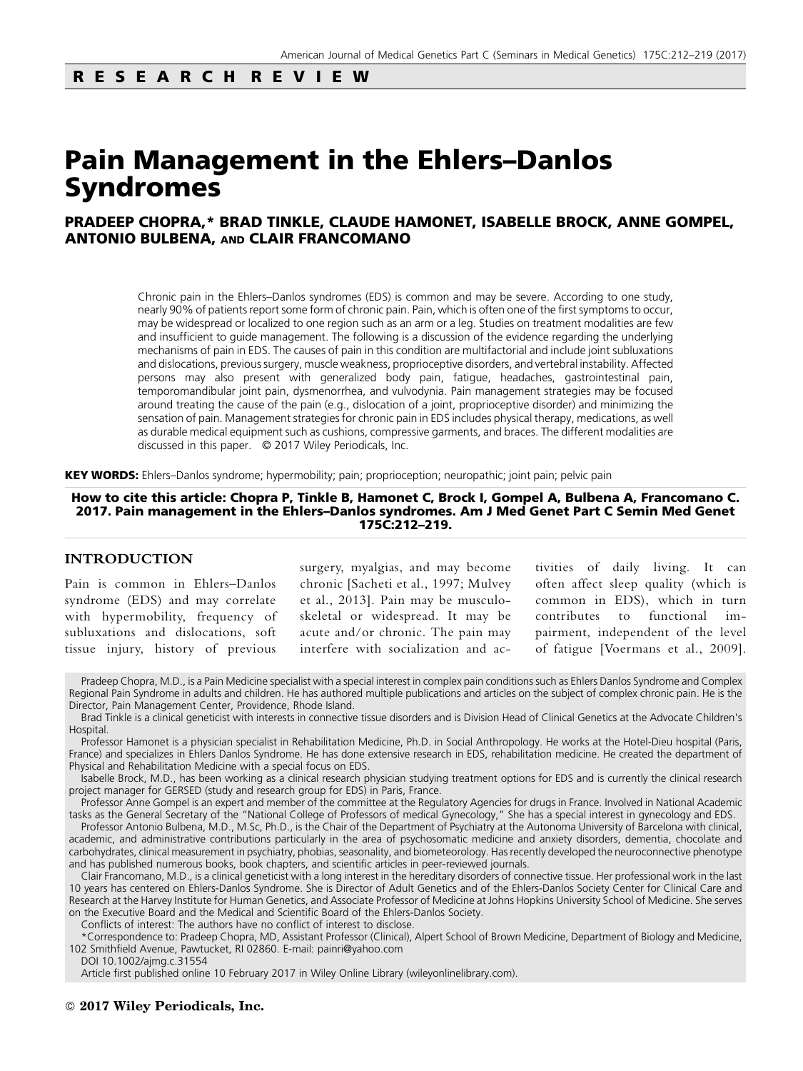# RESEARCH REVIEW

# Pain Management in the Ehlers–Danlos Syndromes

# PRADEEP CHOPRA,\* BRAD TINKLE, CLAUDE HAMONET, ISABELLE BROCK, ANNE GOMPEL, ANTONIO BULBENA, AND CLAIR FRANCOMANO

Chronic pain in the Ehlers–Danlos syndromes (EDS) is common and may be severe. According to one study, nearly 90% of patients report some form of chronic pain. Pain, which is often one of the first symptoms to occur, may be widespread or localized to one region such as an arm or a leg. Studies on treatment modalities are few and insufficient to guide management. The following is a discussion of the evidence regarding the underlying mechanisms of pain in EDS. The causes of pain in this condition are multifactorial and include joint subluxations and dislocations, previous surgery, muscle weakness, proprioceptive disorders, and vertebral instability. Affected persons may also present with generalized body pain, fatigue, headaches, gastrointestinal pain, temporomandibular joint pain, dysmenorrhea, and vulvodynia. Pain management strategies may be focused around treating the cause of the pain (e.g., dislocation of a joint, proprioceptive disorder) and minimizing the sensation of pain. Management strategies for chronic pain in EDS includes physical therapy, medications, as well as durable medical equipment such as cushions, compressive garments, and braces. The different modalities are discussed in this paper. © 2017 Wiley Periodicals, Inc.

KEY WORDS: Ehlers-Danlos syndrome; hypermobility; pain; proprioception; neuropathic; joint pain; pelvic pain

#### How to cite this article: Chopra P, Tinkle B, Hamonet C, Brock I, Gompel A, Bulbena A, Francomano C. 2017. Pain management in the Ehlers–Danlos syndromes. Am J Med Genet Part C Semin Med Genet 175C:212–219.

#### INTRODUCTION

Pain is common in Ehlers–Danlos syndrome (EDS) and may correlate with hypermobility, frequency of subluxations and dislocations, soft tissue injury, history of previous

surgery, myalgias, and may become chronic [Sacheti et al., 1997; Mulvey et al., 2013]. Pain may be musculoskeletal or widespread. It may be acute and/or chronic. The pain may interfere with socialization and activities of daily living. It can often affect sleep quality (which is common in EDS), which in turn contributes to functional impairment, independent of the level of fatigue [Voermans et al., 2009].

Pradeep Chopra, M.D., is a Pain Medicine specialist with a special interest in complex pain conditions such as Ehlers Danlos Syndrome and Complex Regional Pain Syndrome in adults and children. He has authored multiple publications and articles on the subject of complex chronic pain. He is the Director, Pain Management Center, Providence, Rhode Island.

Brad Tinkle is a clinical geneticist with interests in connective tissue disorders and is Division Head of Clinical Genetics at the Advocate Children's Hospital.

Professor Hamonet is a physician specialist in Rehabilitation Medicine, Ph.D. in Social Anthropology. He works at the Hotel-Dieu hospital (Paris, France) and specializes in Ehlers Danlos Syndrome. He has done extensive research in EDS, rehabilitation medicine. He created the department of Physical and Rehabilitation Medicine with a special focus on EDS.

Isabelle Brock, M.D., has been working as a clinical research physician studying treatment options for EDS and is currently the clinical research project manager for GERSED (study and research group for EDS) in Paris, France.

Professor Anne Gompel is an expert and member of the committee at the Regulatory Agencies for drugs in France. Involved in National Academic tasks as the General Secretary of the "National College of Professors of medical Gynecology," She has a special interest in gynecology and EDS.

Professor Antonio Bulbena, M.D., M.Sc, Ph.D., is the Chair of the Department of Psychiatry at the Autonoma University of Barcelona with clinical, academic, and administrative contributions particularly in the area of psychosomatic medicine and anxiety disorders, dementia, chocolate and carbohydrates, clinical measurement in psychiatry, phobias, seasonality, and biometeorology. Has recently developed the neuroconnective phenotype and has published numerous books, book chapters, and scientific articles in peer-reviewed journals.

Clair Francomano, M.D., is a clinical geneticist with a long interest in the hereditary disorders of connective tissue. Her professional work in the last 10 years has centered on Ehlers-Danlos Syndrome. She is Director of Adult Genetics and of the Ehlers-Danlos Society Center for Clinical Care and Research at the Harvey Institute for Human Genetics, and Associate Professor of Medicine at Johns Hopkins University School of Medicine. She serves on the Executive Board and the Medical and Scientific Board of the Ehlers-Danlos Society.

Conflicts of interest: The authors have no conflict of interest to disclose.

\*Correspondence to: Pradeep Chopra, MD, Assistant Professor (Clinical), Alpert School of Brown Medicine, Department of Biology and Medicine, 102 Smithfield Avenue, Pawtucket, RI 02860. E-mail: painri@yahoo.com

DOI 10.1002/ajmg.c.31554

Article first published online 10 February 2017 in Wiley Online Library (wileyonlinelibrary.com).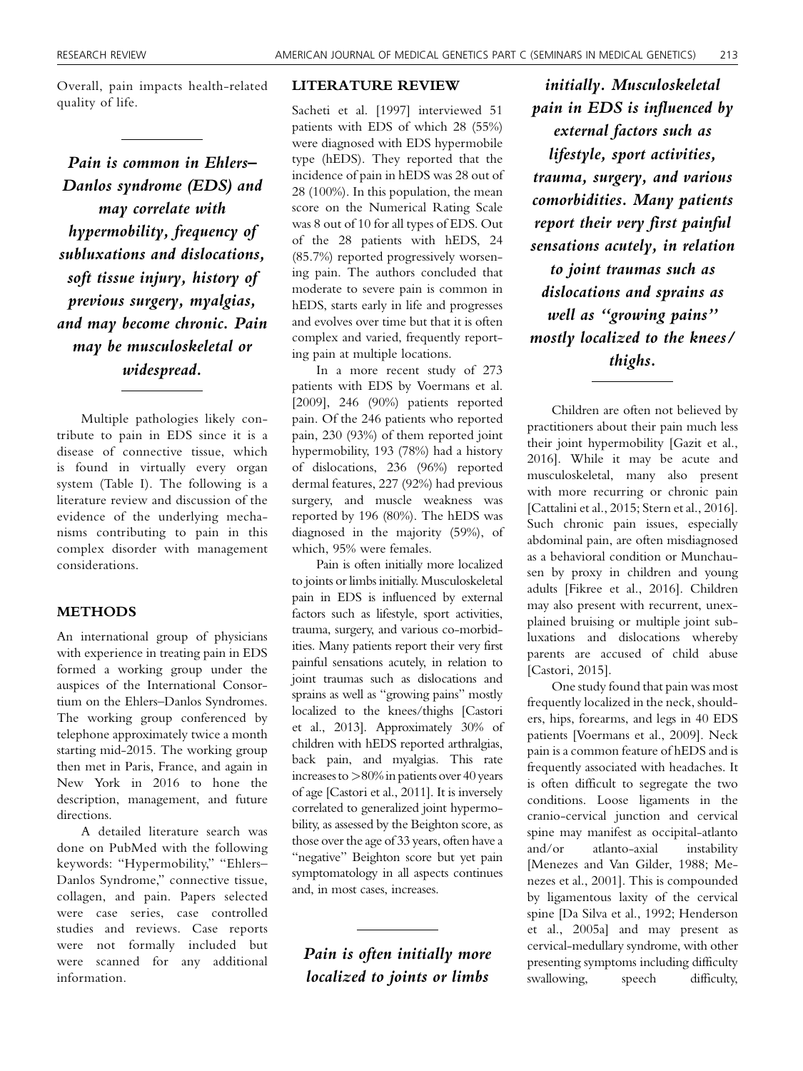Overall, pain impacts health-related quality of life.

Pain is common in Ehlers– Danlos syndrome (EDS) and may correlate with hypermobility, frequency of subluxations and dislocations, soft tissue injury, history of previous surgery, myalgias, and may become chronic. Pain may be musculoskeletal or widespread.

Multiple pathologies likely contribute to pain in EDS since it is a disease of connective tissue, which is found in virtually every organ system (Table I). The following is a literature review and discussion of the evidence of the underlying mechanisms contributing to pain in this complex disorder with management considerations.

#### METHODS

An international group of physicians with experience in treating pain in EDS formed a working group under the auspices of the International Consortium on the Ehlers–Danlos Syndromes. The working group conferenced by telephone approximately twice a month starting mid-2015. The working group then met in Paris, France, and again in New York in 2016 to hone the description, management, and future directions.

A detailed literature search was done on PubMed with the following keywords: "Hypermobility," "Ehlers– Danlos Syndrome," connective tissue, collagen, and pain. Papers selected were case series, case controlled studies and reviews. Case reports were not formally included but were scanned for any additional information.

## LITERATURE REVIEW

Sacheti et al. [1997] interviewed 51 patients with EDS of which 28 (55%) were diagnosed with EDS hypermobile type (hEDS). They reported that the incidence of pain in hEDS was 28 out of 28 (100%). In this population, the mean score on the Numerical Rating Scale was 8 out of 10 for all types of EDS. Out of the 28 patients with hEDS, 24 (85.7%) reported progressively worsening pain. The authors concluded that moderate to severe pain is common in hEDS, starts early in life and progresses and evolves over time but that it is often complex and varied, frequently reporting pain at multiple locations.

In a more recent study of 273 patients with EDS by Voermans et al. [2009], 246 (90%) patients reported pain. Of the 246 patients who reported pain, 230 (93%) of them reported joint hypermobility, 193 (78%) had a history of dislocations, 236 (96%) reported dermal features, 227 (92%) had previous surgery, and muscle weakness was reported by 196 (80%). The hEDS was diagnosed in the majority (59%), of which, 95% were females.

Pain is often initially more localized to joints or limbs initially. Musculoskeletal pain in EDS is influenced by external factors such as lifestyle, sport activities, trauma, surgery, and various co-morbidities. Many patients report their very first painful sensations acutely, in relation to joint traumas such as dislocations and sprains as well as "growing pains" mostly localized to the knees/thighs [Castori et al., 2013]. Approximately 30% of children with hEDS reported arthralgias, back pain, and myalgias. This rate increasesto>80% in patients over 40 years of age [Castori et al., 2011]. It is inversely correlated to generalized joint hypermobility, as assessed by the Beighton score, as those over the age of 33 years, often have a "negative" Beighton score but yet pain symptomatology in all aspects continues and, in most cases, increases.

Pain is often initially more localized to joints or limbs

initially. Musculoskeletal pain in EDS is influenced by external factors such as lifestyle, sport activities, trauma, surgery, and various comorbidities. Many patients report their very first painful sensations acutely, in relation to joint traumas such as dislocations and sprains as well as "growing pains" mostly localized to the knees/ thighs.

Children are often not believed by practitioners about their pain much less their joint hypermobility [Gazit et al., 2016]. While it may be acute and musculoskeletal, many also present with more recurring or chronic pain [Cattalini et al., 2015; Stern et al., 2016]. Such chronic pain issues, especially abdominal pain, are often misdiagnosed as a behavioral condition or Munchausen by proxy in children and young adults [Fikree et al., 2016]. Children may also present with recurrent, unexplained bruising or multiple joint subluxations and dislocations whereby parents are accused of child abuse [Castori, 2015].

One study found that pain was most frequently localized in the neck, shoulders, hips, forearms, and legs in 40 EDS patients [Voermans et al., 2009]. Neck pain is a common feature of hEDS and is frequently associated with headaches. It is often difficult to segregate the two conditions. Loose ligaments in the cranio-cervical junction and cervical spine may manifest as occipital-atlanto and/or atlanto-axial instability [Menezes and Van Gilder, 1988; Menezes et al., 2001]. This is compounded by ligamentous laxity of the cervical spine [Da Silva et al., 1992; Henderson et al., 2005a] and may present as cervical-medullary syndrome, with other presenting symptoms including difficulty swallowing, speech difficulty,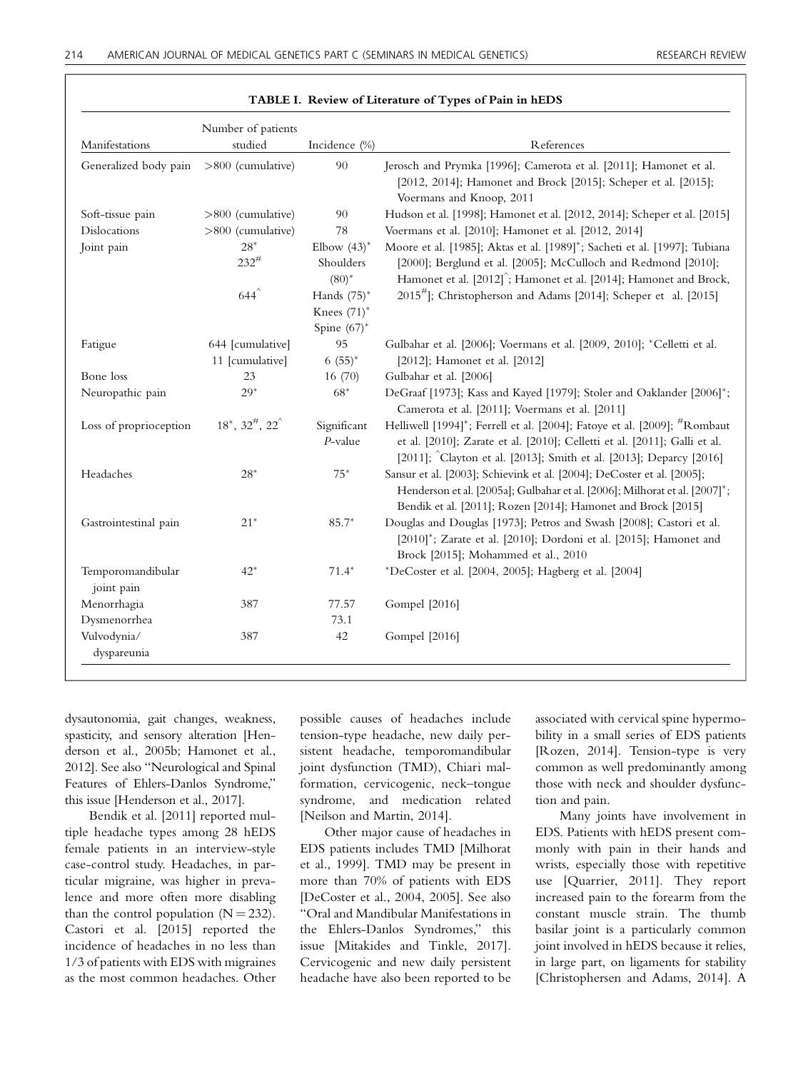|                                 | Number of patients                |                                                    |                                                                                                                                                                                                                                          |
|---------------------------------|-----------------------------------|----------------------------------------------------|------------------------------------------------------------------------------------------------------------------------------------------------------------------------------------------------------------------------------------------|
| Manifestations                  | studied                           | Incidence $(\%)$                                   | References                                                                                                                                                                                                                               |
| Generalized body pain           | >800 (cumulative)                 | 90                                                 | Jerosch and Prymka [1996]; Camerota et al. [2011]; Hamonet et al.<br>[2012, 2014]; Hamonet and Brock [2015]; Scheper et al. [2015];<br>Voermans and Knoop, 2011                                                                          |
| Soft-tissue pain                | >800 (cumulative)                 | 90                                                 | Hudson et al. [1998]; Hamonet et al. [2012, 2014]; Scheper et al. [2015]                                                                                                                                                                 |
| Dislocations                    | >800 (cumulative)                 | 78                                                 | Voermans et al. [2010]; Hamonet et al. [2012, 2014]                                                                                                                                                                                      |
| Joint pain                      | $28*$                             | Elbow $(43)^*$                                     | Moore et al. [1985]; Aktas et al. [1989]*; Sacheti et al. [1997]; Tubiana                                                                                                                                                                |
|                                 | $232^{#}$                         | Shoulders<br>$(80)*$                               | [2000]; Berglund et al. [2005]; McCulloch and Redmond [2010];<br>Hamonet et al. [2012] <sup>^</sup> ; Hamonet et al. [2014]; Hamonet and Brock,                                                                                          |
|                                 | $644^{\circ}$                     | Hands $(75)^*$<br>Knees $(71)^*$<br>Spine $(67)^*$ | 2015 <sup>#</sup> ]; Christopherson and Adams [2014]; Scheper et al. [2015]                                                                                                                                                              |
| Fatigue                         | 644 [cumulative]                  | 95                                                 | Gulbahar et al. [2006]; Voermans et al. [2009, 2010]; *Celletti et al.                                                                                                                                                                   |
|                                 | 11 [cumulative]                   | $6(55)^*$                                          | [2012]; Hamonet et al. [2012]                                                                                                                                                                                                            |
| Bone loss                       | 23                                | 16 (70)                                            | Gulbahar et al. [2006]                                                                                                                                                                                                                   |
| Neuropathic pain                | $29*$                             | $68*$                                              | DeGraaf [1973]; Kass and Kayed [1979]; Stoler and Oaklander [2006]*;<br>Camerota et al. [2011]; Voermans et al. [2011]                                                                                                                   |
| Loss of proprioception          | $18^*$ , $32^{\#}$ , $22^{\circ}$ | Significant<br>P-value                             | Helliwell [1994]*; Ferrell et al. [2004]; Fatoye et al. [2009]; <sup>#</sup> Rombaut<br>et al. [2010]; Zarate et al. [2010]; Celletti et al. [2011]; Galli et al.<br>[2011]; ^Clayton et al. [2013]; Smith et al. [2013]; Deparcy [2016] |
| Headaches                       | $28*$                             | $75*$                                              | Sansur et al. [2003]; Schievink et al. [2004]; DeCoster et al. [2005];<br>Henderson et al. [2005a]; Gulbahar et al. [2006]; Milhorat et al. [2007]*;<br>Bendik et al. [2011]; Rozen [2014]; Hamonet and Brock [2015]                     |
| Gastrointestinal pain           | $21*$                             | 85.7*                                              | Douglas and Douglas [1973]; Petros and Swash [2008]; Castori et al.<br>[2010]*; Zarate et al. [2010]; Dordoni et al. [2015]; Hamonet and<br>Brock [2015]; Mohammed et al., 2010                                                          |
| Temporomandibular<br>joint pain | $42*$                             | $71.4*$                                            | *DeCoster et al. [2004, 2005]; Hagberg et al. [2004]                                                                                                                                                                                     |
| Menorrhagia                     | 387                               | 77.57                                              | Gompel [2016]                                                                                                                                                                                                                            |
| Dysmenorrhea                    |                                   | 73.1                                               |                                                                                                                                                                                                                                          |
| Vulvodynia/                     | 387                               | 42                                                 | Gompel [2016]                                                                                                                                                                                                                            |
| dyspareunia                     |                                   |                                                    |                                                                                                                                                                                                                                          |

dysautonomia, gait changes, weakness, spasticity, and sensory alteration [Henderson et al., 2005b; Hamonet et al., 2012]. See also "Neurological and Spinal Features of Ehlers-Danlos Syndrome," this issue [Henderson et al., 2017].

Bendik et al. [2011] reported multiple headache types among 28 hEDS female patients in an interview-style case-control study. Headaches, in particular migraine, was higher in prevalence and more often more disabling than the control population  $(N = 232)$ . Castori et al. [2015] reported the incidence of headaches in no less than 1/3 of patients with EDS with migraines as the most common headaches. Other

possible causes of headaches include tension-type headache, new daily persistent headache, temporomandibular joint dysfunction (TMD), Chiari malformation, cervicogenic, neck–tongue syndrome, and medication related [Neilson and Martin, 2014].

Other major cause of headaches in EDS patients includes TMD [Milhorat et al., 1999]. TMD may be present in more than 70% of patients with EDS [DeCoster et al., 2004, 2005]. See also "Oral and Mandibular Manifestations in the Ehlers-Danlos Syndromes," this issue [Mitakides and Tinkle, 2017]. Cervicogenic and new daily persistent headache have also been reported to be associated with cervical spine hypermobility in a small series of EDS patients [Rozen, 2014]. Tension-type is very common as well predominantly among those with neck and shoulder dysfunction and pain.

Many joints have involvement in EDS. Patients with hEDS present commonly with pain in their hands and wrists, especially those with repetitive use [Quarrier, 2011]. They report increased pain to the forearm from the constant muscle strain. The thumb basilar joint is a particularly common joint involved in hEDS because it relies, in large part, on ligaments for stability [Christophersen and Adams, 2014]. A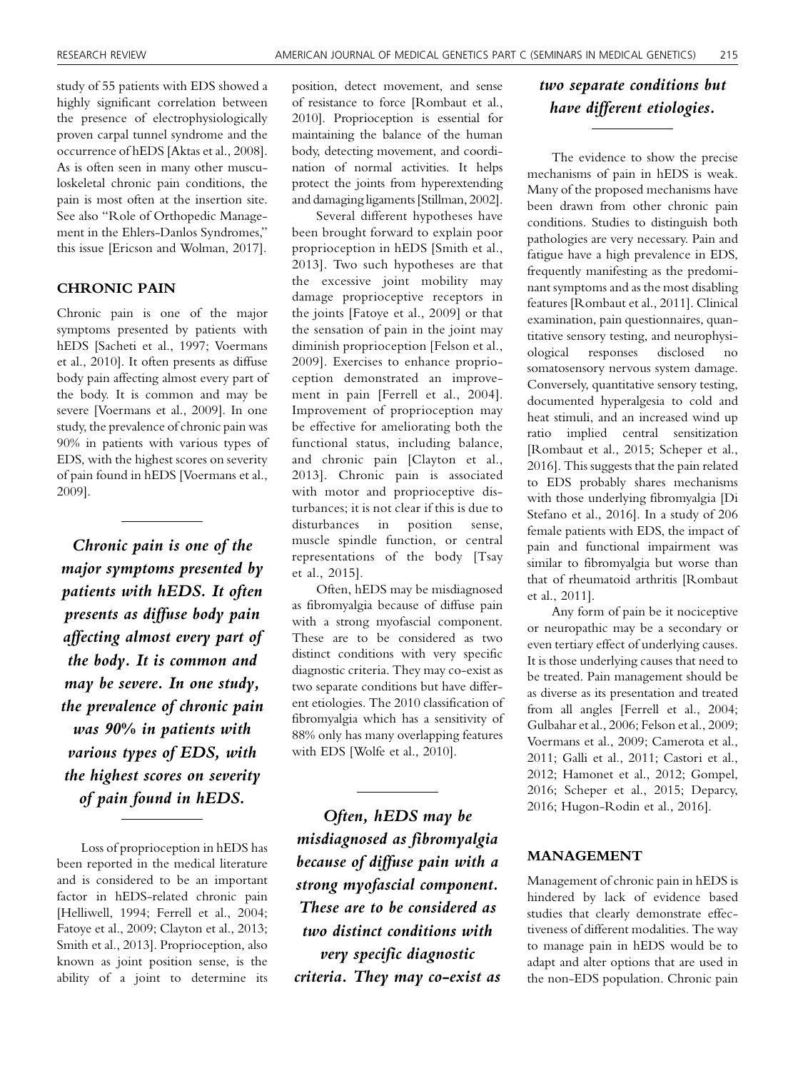study of 55 patients with EDS showed a highly significant correlation between the presence of electrophysiologically proven carpal tunnel syndrome and the occurrence of hEDS [Aktas et al., 2008]. As is often seen in many other musculoskeletal chronic pain conditions, the pain is most often at the insertion site. See also "Role of Orthopedic Management in the Ehlers-Danlos Syndromes," this issue [Ericson and Wolman, 2017].

# CHRONIC PAIN

Chronic pain is one of the major symptoms presented by patients with hEDS [Sacheti et al., 1997; Voermans et al., 2010]. It often presents as diffuse body pain affecting almost every part of the body. It is common and may be severe [Voermans et al., 2009]. In one study, the prevalence of chronic pain was 90% in patients with various types of EDS, with the highest scores on severity of pain found in hEDS [Voermans et al., 2009].

Chronic pain is one of the major symptoms presented by patients with hEDS. It often presents as diffuse body pain affecting almost every part of the body. It is common and may be severe. In one study, the prevalence of chronic pain was 90% in patients with various types of EDS, with the highest scores on severity of pain found in hEDS.

Loss of proprioception in hEDS has been reported in the medical literature and is considered to be an important factor in hEDS-related chronic pain [Helliwell, 1994; Ferrell et al., 2004; Fatoye et al., 2009; Clayton et al., 2013; Smith et al., 2013]. Proprioception, also known as joint position sense, is the ability of a joint to determine its position, detect movement, and sense of resistance to force [Rombaut et al., 2010]. Proprioception is essential for maintaining the balance of the human body, detecting movement, and coordination of normal activities. It helps protect the joints from hyperextending and damaging ligaments [Stillman, 2002].

Several different hypotheses have been brought forward to explain poor proprioception in hEDS [Smith et al., 2013]. Two such hypotheses are that the excessive joint mobility may damage proprioceptive receptors in the joints [Fatoye et al., 2009] or that the sensation of pain in the joint may diminish proprioception [Felson et al., 2009]. Exercises to enhance proprioception demonstrated an improvement in pain [Ferrell et al., 2004]. Improvement of proprioception may be effective for ameliorating both the functional status, including balance, and chronic pain [Clayton et al., 2013]. Chronic pain is associated with motor and proprioceptive disturbances; it is not clear if this is due to disturbances in position sense, muscle spindle function, or central representations of the body [Tsay et al., 2015].

Often, hEDS may be misdiagnosed as fibromyalgia because of diffuse pain with a strong myofascial component. These are to be considered as two distinct conditions with very specific diagnostic criteria. They may co-exist as two separate conditions but have different etiologies. The 2010 classification of fibromyalgia which has a sensitivity of 88% only has many overlapping features with EDS [Wolfe et al., 2010].

Often, hEDS may be misdiagnosed as fibromyalgia because of diffuse pain with a strong myofascial component. These are to be considered as two distinct conditions with very specific diagnostic criteria. They may co-exist as

# two separate conditions but have different etiologies.

The evidence to show the precise mechanisms of pain in hEDS is weak. Many of the proposed mechanisms have been drawn from other chronic pain conditions. Studies to distinguish both pathologies are very necessary. Pain and fatigue have a high prevalence in EDS, frequently manifesting as the predominant symptoms and as the most disabling features [Rombaut et al., 2011]. Clinical examination, pain questionnaires, quantitative sensory testing, and neurophysiological responses disclosed no somatosensory nervous system damage. Conversely, quantitative sensory testing, documented hyperalgesia to cold and heat stimuli, and an increased wind up ratio implied central sensitization [Rombaut et al., 2015; Scheper et al., 2016]. This suggests that the pain related to EDS probably shares mechanisms with those underlying fibromyalgia [Di Stefano et al., 2016]. In a study of 206 female patients with EDS, the impact of pain and functional impairment was similar to fibromyalgia but worse than that of rheumatoid arthritis [Rombaut et al., 2011].

Any form of pain be it nociceptive or neuropathic may be a secondary or even tertiary effect of underlying causes. It is those underlying causes that need to be treated. Pain management should be as diverse as its presentation and treated from all angles [Ferrell et al., 2004; Gulbahar et al., 2006; Felson et al., 2009; Voermans et al., 2009; Camerota et al., 2011; Galli et al., 2011; Castori et al., 2012; Hamonet et al., 2012; Gompel, 2016; Scheper et al., 2015; Deparcy, 2016; Hugon-Rodin et al., 2016].

#### MANAGEMENT

Management of chronic pain in hEDS is hindered by lack of evidence based studies that clearly demonstrate effectiveness of different modalities. The way to manage pain in hEDS would be to adapt and alter options that are used in the non-EDS population. Chronic pain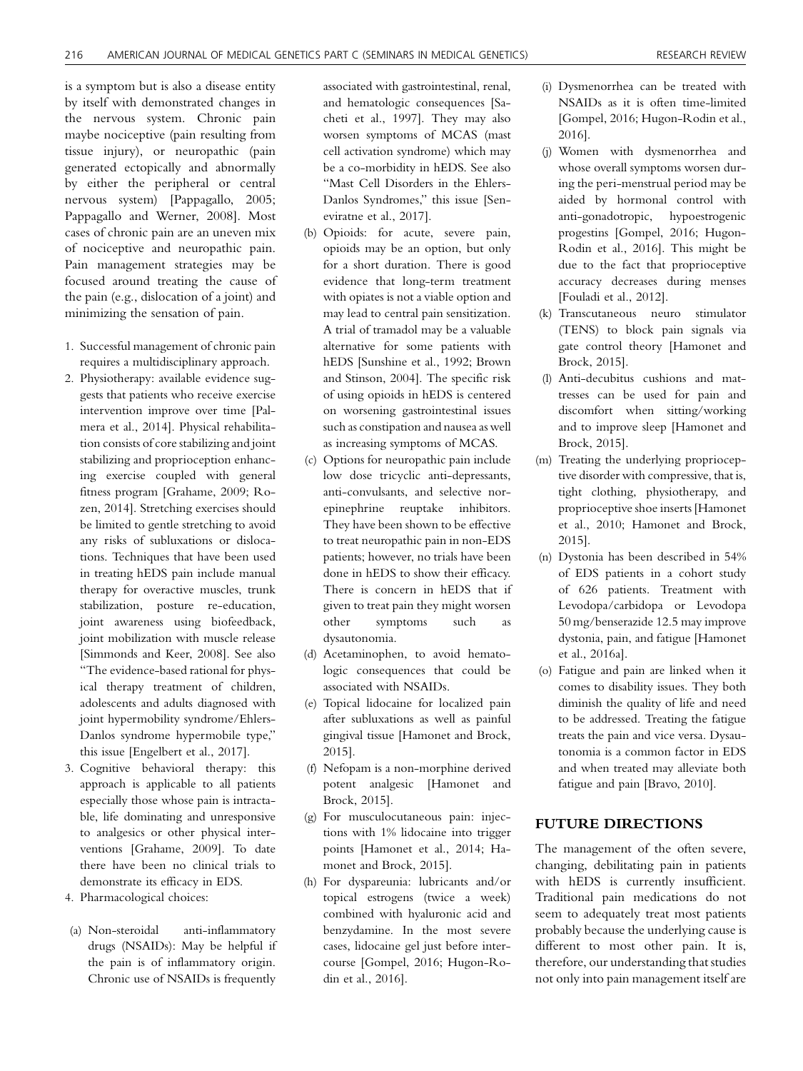is a symptom but is also a disease entity by itself with demonstrated changes in the nervous system. Chronic pain maybe nociceptive (pain resulting from tissue injury), or neuropathic (pain generated ectopically and abnormally by either the peripheral or central nervous system) [Pappagallo, 2005; Pappagallo and Werner, 2008]. Most cases of chronic pain are an uneven mix of nociceptive and neuropathic pain. Pain management strategies may be focused around treating the cause of the pain (e.g., dislocation of a joint) and minimizing the sensation of pain.

- 1. Successful management of chronic pain requires a multidisciplinary approach.
- 2. Physiotherapy: available evidence suggests that patients who receive exercise intervention improve over time [Palmera et al., 2014]. Physical rehabilitation consists of core stabilizing and joint stabilizing and proprioception enhancing exercise coupled with general fitness program [Grahame, 2009; Rozen, 2014]. Stretching exercises should be limited to gentle stretching to avoid any risks of subluxations or dislocations. Techniques that have been used in treating hEDS pain include manual therapy for overactive muscles, trunk stabilization, posture re-education, joint awareness using biofeedback, joint mobilization with muscle release [Simmonds and Keer, 2008]. See also "The evidence-based rational for physical therapy treatment of children, adolescents and adults diagnosed with joint hypermobility syndrome/Ehlers-Danlos syndrome hypermobile type," this issue [Engelbert et al., 2017].
- 3. Cognitive behavioral therapy: this approach is applicable to all patients especially those whose pain is intractable, life dominating and unresponsive to analgesics or other physical interventions [Grahame, 2009]. To date there have been no clinical trials to demonstrate its efficacy in EDS.
- 4. Pharmacological choices:
- (a) Non-steroidal anti-inflammatory drugs (NSAIDs): May be helpful if the pain is of inflammatory origin. Chronic use of NSAIDs is frequently

associated with gastrointestinal, renal, and hematologic consequences [Sacheti et al., 1997]. They may also worsen symptoms of MCAS (mast cell activation syndrome) which may be a co-morbidity in hEDS. See also "Mast Cell Disorders in the Ehlers-Danlos Syndromes," this issue [Seneviratne et al., 2017].

- (b) Opioids: for acute, severe pain, opioids may be an option, but only for a short duration. There is good evidence that long-term treatment with opiates is not a viable option and may lead to central pain sensitization. A trial of tramadol may be a valuable alternative for some patients with hEDS [Sunshine et al., 1992; Brown and Stinson, 2004]. The specific risk of using opioids in hEDS is centered on worsening gastrointestinal issues such as constipation and nausea as well as increasing symptoms of MCAS.
- (c) Options for neuropathic pain include low dose tricyclic anti-depressants, anti-convulsants, and selective norepinephrine reuptake inhibitors. They have been shown to be effective to treat neuropathic pain in non-EDS patients; however, no trials have been done in hEDS to show their efficacy. There is concern in hEDS that if given to treat pain they might worsen other symptoms such as dysautonomia.
- (d) Acetaminophen, to avoid hematologic consequences that could be associated with NSAIDs.
- (e) Topical lidocaine for localized pain after subluxations as well as painful gingival tissue [Hamonet and Brock, 2015].
- (f) Nefopam is a non-morphine derived potent analgesic [Hamonet and Brock, 2015].
- (g) For musculocutaneous pain: injections with 1% lidocaine into trigger points [Hamonet et al., 2014; Hamonet and Brock, 2015].
- (h) For dyspareunia: lubricants and/or topical estrogens (twice a week) combined with hyaluronic acid and benzydamine. In the most severe cases, lidocaine gel just before intercourse [Gompel, 2016; Hugon-Rodin et al., 2016].
- (i) Dysmenorrhea can be treated with NSAIDs as it is often time-limited [Gompel, 2016; Hugon-Rodin et al., 2016].
- (j) Women with dysmenorrhea and whose overall symptoms worsen during the peri-menstrual period may be aided by hormonal control with anti-gonadotropic, hypoestrogenic progestins [Gompel, 2016; Hugon-Rodin et al., 2016]. This might be due to the fact that proprioceptive accuracy decreases during menses [Fouladi et al., 2012].
- (k) Transcutaneous neuro stimulator (TENS) to block pain signals via gate control theory [Hamonet and Brock, 2015].
- (l) Anti-decubitus cushions and mattresses can be used for pain and discomfort when sitting/working and to improve sleep [Hamonet and Brock, 2015].
- (m) Treating the underlying proprioceptive disorder with compressive, that is, tight clothing, physiotherapy, and proprioceptive shoe inserts [Hamonet et al., 2010; Hamonet and Brock, 2015].
- (n) Dystonia has been described in 54% of EDS patients in a cohort study of 626 patients. Treatment with Levodopa/carbidopa or Levodopa 50 mg/benserazide 12.5 may improve dystonia, pain, and fatigue [Hamonet et al., 2016a].
- (o) Fatigue and pain are linked when it comes to disability issues. They both diminish the quality of life and need to be addressed. Treating the fatigue treats the pain and vice versa. Dysautonomia is a common factor in EDS and when treated may alleviate both fatigue and pain [Bravo, 2010].

# FUTURE DIRECTIONS

The management of the often severe, changing, debilitating pain in patients with hEDS is currently insufficient. Traditional pain medications do not seem to adequately treat most patients probably because the underlying cause is different to most other pain. It is, therefore, our understanding that studies not only into pain management itself are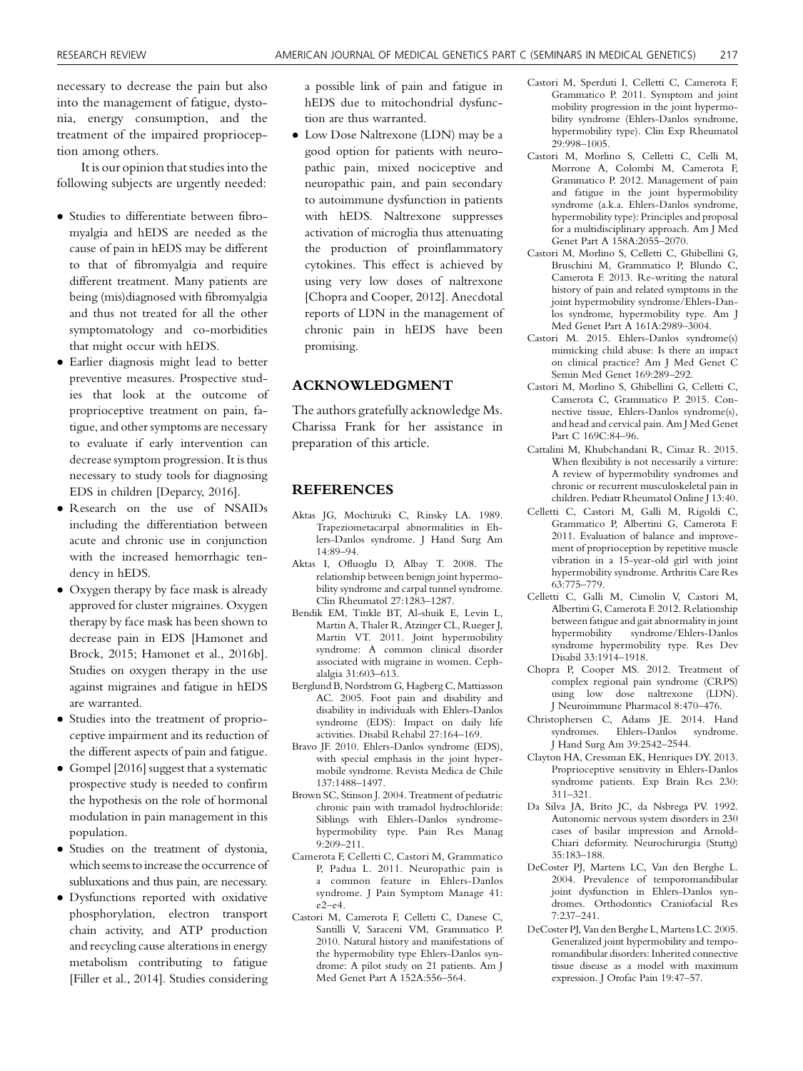necessary to decrease the pain but also into the management of fatigue, dystonia, energy consumption, and the treatment of the impaired proprioception among others.

It is our opinion that studies into the following subjects are urgently needed:

- Studies to differentiate between fibromyalgia and hEDS are needed as the cause of pain in hEDS may be different to that of fibromyalgia and require different treatment. Many patients are being (mis)diagnosed with fibromyalgia and thus not treated for all the other symptomatology and co-morbidities that might occur with hEDS.
- Earlier diagnosis might lead to better preventive measures. Prospective studies that look at the outcome of proprioceptive treatment on pain, fatigue, and other symptoms are necessary to evaluate if early intervention can decrease symptom progression. It is thus necessary to study tools for diagnosing EDS in children [Deparcy, 2016].
- Research on the use of NSAIDs including the differentiation between acute and chronic use in conjunction with the increased hemorrhagic tendency in hEDS.
- Oxygen therapy by face mask is already approved for cluster migraines. Oxygen therapy by face mask has been shown to decrease pain in EDS [Hamonet and Brock, 2015; Hamonet et al., 2016b]. Studies on oxygen therapy in the use against migraines and fatigue in hEDS are warranted.
- Studies into the treatment of proprioceptive impairment and its reduction of the different aspects of pain and fatigue.
- Gompel [2016] suggest that a systematic prospective study is needed to confirm the hypothesis on the role of hormonal modulation in pain management in this population.
- Studies on the treatment of dystonia, which seems to increase the occurrence of subluxations and thus pain, are necessary.
- Dysfunctions reported with oxidative phosphorylation, electron transport chain activity, and ATP production and recycling cause alterations in energy metabolism contributing to fatigue [Filler et al., 2014]. Studies considering

a possible link of pain and fatigue in hEDS due to mitochondrial dysfunction are thus warranted.

 Low Dose Naltrexone (LDN) may be a good option for patients with neuropathic pain, mixed nociceptive and neuropathic pain, and pain secondary to autoimmune dysfunction in patients with hEDS. Naltrexone suppresses activation of microglia thus attenuating the production of proinflammatory cytokines. This effect is achieved by using very low doses of naltrexone [Chopra and Cooper, 2012]. Anecdotal reports of LDN in the management of chronic pain in hEDS have been promising.

#### ACKNOWLEDGMENT

The authors gratefully acknowledge Ms. Charissa Frank for her assistance in preparation of this article.

## **REFERENCES**

- Aktas JG, Mochizuki C, Rinsky LA. 1989. Trapeziometacarpal abnormalities in Ehlers-Danlos syndrome. J Hand Surg Am 14:89–94.
- Aktas I, Ofluoglu D, Albay T. 2008. The relationship between benign joint hypermobility syndrome and carpal tunnel syndrome. Clin Rheumatol 27:1283–1287.
- Bendik EM, Tinkle BT, Al-shuik E, Levin L, Martin A, Thaler R, Atzinger CL, Rueger J, Martin VT. 2011. Joint hypermobility syndrome: A common clinical disorder associated with migraine in women. Cephalalgia 31:603–613.
- Berglund B, Nordstrom G, Hagberg C, Mattiasson AC. 2005. Foot pain and disability and disability in individuals with Ehlers-Danlos syndrome (EDS): Impact on daily life activities. Disabil Rehabil 27:164–169.
- Bravo JF. 2010. Ehlers-Danlos syndrome (EDS), with special emphasis in the joint hypermobile syndrome. Revista Medica de Chile 137:1488–1497.
- Brown SC, Stinson J. 2004. Treatment of pediatric chronic pain with tramadol hydrochloride: Siblings with Ehlers-Danlos syndromehypermobility type. Pain Res Manag 9:209–211.
- Camerota F, Celletti C, Castori M, Grammatico P, Padua L. 2011. Neuropathic pain is a common feature in Ehlers-Danlos syndrome. J Pain Symptom Manage 41: e2–e4.
- Castori M, Camerota F, Celletti C, Danese C, Santilli V, Saraceni VM, Grammatico P. 2010. Natural history and manifestations of the hypermobility type Ehlers-Danlos syndrome: A pilot study on 21 patients. Am J Med Genet Part A 152A:556–564.
- Castori M, Sperduti I, Celletti C, Camerota F, Grammatico P. 2011. Symptom and joint mobility progression in the joint hypermobility syndrome (Ehlers-Danlos syndrome, hypermobility type). Clin Exp Rheumatol 29:998–1005.
- Castori M, Morlino S, Celletti C, Celli M, Morrone A, Colombi M, Camerota F, Grammatico P. 2012. Management of pain and fatigue in the joint hypermobility syndrome (a.k.a. Ehlers-Danlos syndrome, hypermobility type): Principles and proposal for a multidisciplinary approach. Am J Med Genet Part A 158A:2055–2070.
- Castori M, Morlino S, Celletti C, Ghibellini G, Bruschini M, Grammatico P, Blundo C, Camerota F. 2013. Re-writing the natural history of pain and related symptoms in the joint hypermobility syndrome/Ehlers-Danlos syndrome, hypermobility type. Am J Med Genet Part A 161A:2989–3004.
- Castori M. 2015. Ehlers-Danlos syndrome(s) mimicking child abuse: Is there an impact on clinical practice? Am J Med Genet C Semin Med Genet 169:289–292.
- Castori M, Morlino S, Ghibellini G, Celletti C, Camerota C, Grammatico P. 2015. Connective tissue, Ehlers-Danlos syndrome(s), and head and cervical pain. Am J Med Genet Part C 169C:84–96.
- Cattalini M, Khubchandani R, Cimaz R. 2015. When flexibility is not necessarily a virture: A review of hypermobility syndromes and chronic or recurrent musculoskeletal pain in children. Pediatr Rheumatol Online J 13:40.
- Celletti C, Castori M, Galli M, Rigoldi C, Grammatico P, Albertini G, Camerota F. 2011. Evaluation of balance and improvement of proprioception by repetitive muscle vibration in a 15-year-old girl with joint hypermobility syndrome. Arthritis Care Res 63:775–779.
- Celletti C, Galli M, Cimolin V, Castori M, Albertini G, Camerota F. 2012. Relationship between fatigue and gait abnormality in joint hypermobility syndrome/Ehlers-Danlos syndrome hypermobility type. Res Dev Disabil 33:1914–1918.
- Chopra P, Cooper MS. 2012. Treatment of complex regional pain syndrome (CRPS) using low dose naltrexone (LDN). J Neuroimmune Pharmacol 8:470–476.
- Christophersen C, Adams JE. 2014. Hand syndromes. Ehlers-Danlos syndrome. J Hand Surg Am 39:2542–2544.
- Clayton HA, Cressman EK, Henriques DY. 2013. Proprioceptive sensitivity in Ehlers-Danlos syndrome patients. Exp Brain Res 230: 311–321.
- Da Silva JA, Brito JC, da Nsbrega PV. 1992. Autonomic nervous system disorders in 230 cases of basilar impression and Arnold-Chiari deformity. Neurochirurgia (Stuttg) 35:183–188.
- DeCoster PJ, Martens LC, Van den Berghe L. 2004. Prevalence of temporomandibular joint dysfunction in Ehlers-Danlos syndromes. Orthodontics Craniofacial Res 7:237–241.
- DeCoster PJ, Van den Berghe L, Martens LC. 2005. Generalized joint hypermobility and temporomandibular disorders: Inherited connective tissue disease as a model with maximum expression. J Orofac Pain 19:47–57.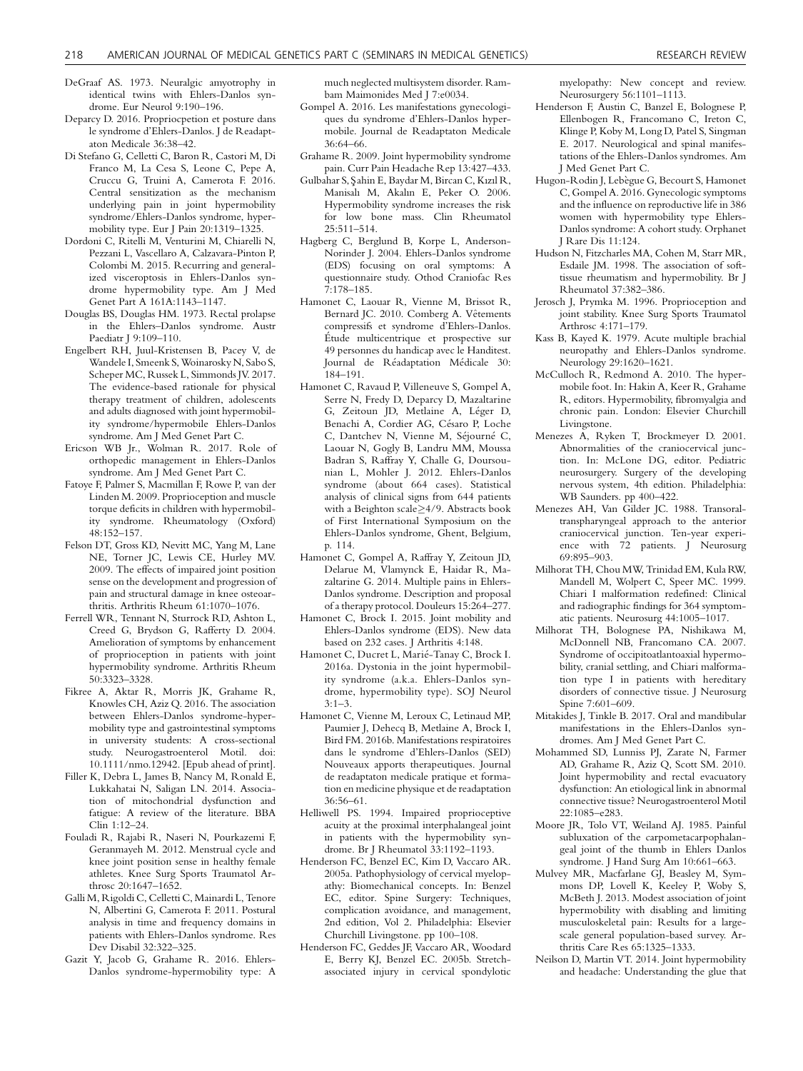- DeGraaf AS. 1973. Neuralgic amyotrophy in identical twins with Ehlers-Danlos syndrome. Eur Neurol 9:190–196.
- Deparcy D. 2016. Propriocpetion et posture dans le syndrome d'Ehlers-Danlos. J de Readaptaton Medicale 36:38–42.
- Di Stefano G, Celletti C, Baron R, Castori M, Di Franco M, La Cesa S, Leone C, Pepe A, Cruccu G, Truini A, Camerota F. 2016. Central sensitization as the mechanism underlying pain in joint hypermobility syndrome/Ehlers-Danlos syndrome, hypermobility type. Eur J Pain 20:1319–1325.
- Dordoni C, Ritelli M, Venturini M, Chiarelli N, Pezzani L, Vascellaro A, Calzavara-Pinton P, Colombi M. 2015. Recurring and generalized visceroptosis in Ehlers-Danlos syndrome hypermobility type. Am J Med Genet Part A 161A:1143–1147.
- Douglas BS, Douglas HM. 1973. Rectal prolapse in the Ehlers–Danlos syndrome. Austr Paediatr J 9:109–110.
- Engelbert RH, Juul-Kristensen B, Pacey V, de Wandele I, Smeenk S, Woinarosky N, Sabo S, Scheper MC, Russek L, Simmonds JV. 2017. The evidence-based rationale for physical therapy treatment of children, adolescents and adults diagnosed with joint hypermobility syndrome/hypermobile Ehlers-Danlos syndrome. Am J Med Genet Part C.
- Ericson WB Jr., Wolman R. 2017. Role of orthopedic management in Ehlers-Danlos syndrome. Am J Med Genet Part C.
- Fatoye F, Palmer S, Macmillan F, Rowe P, van der Linden M. 2009. Proprioception and muscle torque deficits in children with hypermobility syndrome. Rheumatology (Oxford) 48:152–157.
- Felson DT, Gross KD, Nevitt MC, Yang M, Lane NE, Torner JC, Lewis CE, Hurley MV. 2009. The effects of impaired joint position sense on the development and progression of pain and structural damage in knee osteoarthritis. Arthritis Rheum 61:1070–1076.
- Ferrell WR, Tennant N, Sturrock RD, Ashton L, Creed G, Brydson G, Rafferty D. 2004. Amelioration of symptoms by enhancement of proprioception in patients with joint hypermobility syndrome. Arthritis Rheum 50:3323–3328.
- Fikree A, Aktar R, Morris JK, Grahame R, Knowles CH, Aziz Q. 2016. The association between Ehlers-Danlos syndrome-hypermobility type and gastrointestinal symptoms in university students: A cross-sectional study. Neurogastroenterol Motil. doi: 10.1111/nmo.12942. [Epub ahead of print].
- Filler K, Debra L, James B, Nancy M, Ronald E, Lukkahatai N, Saligan LN. 2014. Association of mitochondrial dysfunction and fatigue: A review of the literature. BBA Clin 1:12–24.
- Fouladi R, Rajabi R, Naseri N, Pourkazemi F, Geranmayeh M. 2012. Menstrual cycle and knee joint position sense in healthy female athletes. Knee Surg Sports Traumatol Arthrosc 20:1647–1652.
- Galli M, Rigoldi C, Celletti C, Mainardi L, Tenore N, Albertini G, Camerota F. 2011. Postural analysis in time and frequency domains in patients with Ehlers-Danlos syndrome. Res Dev Disabil 32:322–325.
- Gazit Y, Jacob G, Grahame R. 2016. Ehlers-Danlos syndrome-hypermobility type: A

much neglected multisystem disorder. Rambam Maimonides Med J 7:e0034.

- Gompel A. 2016. Les manifestations gynecologiques du syndrome d'Ehlers-Danlos hypermobile. Journal de Readaptaton Medicale 36:64–66.
- Grahame R. 2009. Joint hypermobility syndrome pain. Curr Pain Headache Rep 13:427–433.
- Gulbahar S, Şahin E, Baydar M, Bircan C, Kızıl R, Manisalı M, Akalın E, Peker O. 2006. Hypermobility syndrome increases the risk for low bone mass. Clin Rheumatol 25:511–514.
- Hagberg C, Berglund B, Korpe L, Anderson-Norinder J. 2004. Ehlers-Danlos syndrome (EDS) focusing on oral symptoms: A questionnaire study. Othod Craniofac Res 7:178–185.
- Hamonet C, Laouar R, Vienne M, Brissot R, Bernard JC. 2010. Comberg A. Vêtements compressifs et syndrome d'Ehlers-Danlos. Étude multicentrique et prospective sur 49 personnes du handicap avec le Handitest. Journal de Réadaptation Médicale 30: 184–191.
- Hamonet C, Ravaud P, Villeneuve S, Gompel A, Serre N, Fredy D, Deparcy D, Mazaltarine G, Zeitoun JD, Metlaine A, Léger D, Benachi A, Cordier AG, Césaro P, Loche C, Dantchev N, Vienne M, Séjourné C, Laouar N, Gogly B, Landru MM, Moussa Badran S, Raffray Y, Challe G, Doursounian L, Mohler J. 2012. Ehlers-Danlos syndrome (about 664 cases). Statistical analysis of clinical signs from 644 patients with a Beighton scale $\geq$ 4/9. Abstracts book of First International Symposium on the Ehlers-Danlos syndrome, Ghent, Belgium, p. 114.
- Hamonet C, Gompel A, Raffray Y, Zeitoun JD, Delarue M, Vlamynck E, Haidar R, Mazaltarine G. 2014. Multiple pains in Ehlers-Danlos syndrome. Description and proposal of a therapy protocol. Douleurs 15:264–277.
- Hamonet C, Brock I. 2015. Joint mobility and Ehlers-Danlos syndrome (EDS). New data based on 232 cases. J Arthritis 4:148.
- Hamonet C, Ducret L, Marié-Tanay C, Brock I. 2016a. Dystonia in the joint hypermobility syndrome (a.k.a. Ehlers-Danlos syndrome, hypermobility type). SOJ Neurol  $3.1 - 3$
- Hamonet C, Vienne M, Leroux C, Letinaud MP, Paumier J, Dehecq B, Metlaine A, Brock I, Bird FM. 2016b. Manifestations respiratoires dans le syndrome d'Ehlers-Danlos (SED) Nouveaux apports therapeutiques. Journal de readaptaton medicale pratique et formation en medicine physique et de readaptation  $36:56-61$
- Helliwell PS. 1994. Impaired proprioceptive acuity at the proximal interphalangeal joint in patients with the hypermobility syndrome. Br J Rheumatol 33:1192–1193.
- Henderson FC, Benzel EC, Kim D, Vaccaro AR. 2005a. Pathophysiology of cervical myelopathy: Biomechanical concepts. In: Benzel EC, editor. Spine Surgery: Techniques, complication avoidance, and management, 2nd edition, Vol 2. Philadelphia: Elsevier Churchill Livingstone. pp 100–108.
- Henderson FC, Geddes JF, Vaccaro AR, Woodard E, Berry KJ, Benzel EC. 2005b. Stretchassociated injury in cervical spondylotic

myelopathy: New concept and review. Neurosurgery 56:1101–1113.

- Henderson F, Austin C, Banzel E, Bolognese P, Ellenbogen R, Francomano C, Ireton C, Klinge P, Koby M, Long D, Patel S, Singman E. 2017. Neurological and spinal manifestations of the Ehlers-Danlos syndromes. Am J Med Genet Part C.
- Hugon-Rodin J, Lebegue G, Becourt S, Hamonet C, Gompel A. 2016. Gynecologic symptoms and the influence on reproductive life in 386 women with hypermobility type Ehlers-Danlos syndrome: A cohort study. Orphanet J Rare Dis 11:124.
- Hudson N, Fitzcharles MA, Cohen M, Starr MR, Esdaile JM. 1998. The association of softtissue rheumatism and hypermobility. Br J Rheumatol 37:382–386.
- Jerosch J, Prymka M. 1996. Proprioception and joint stability. Knee Surg Sports Traumatol Arthrosc 4:171–179.
- Kass B, Kayed K. 1979. Acute multiple brachial neuropathy and Ehlers-Danlos syndrome. Neurology 29:1620–1621.
- McCulloch R, Redmond A. 2010. The hypermobile foot. In: Hakin A, Keer R, Grahame R, editors. Hypermobility, fibromyalgia and chronic pain. London: Elsevier Churchill Livingstone.
- Menezes A, Ryken T, Brockmeyer D. 2001. Abnormalities of the craniocervical junction. In: McLone DG, editor. Pediatric neurosurgery. Surgery of the developing nervous system, 4th edition. Philadelphia: WB Saunders. pp 400–422.
- Menezes AH, Van Gilder JC. 1988. Transoraltranspharyngeal approach to the anterior craniocervical junction. Ten-year experience with 72 patients. J Neurosurg 69:895–903.
- Milhorat TH, Chou MW, Trinidad EM, Kula RW, Mandell M, Wolpert C, Speer MC. 1999. Chiari I malformation redefined: Clinical and radiographic findings for 364 symptomatic patients. Neurosurg 44:1005–1017.
- Milhorat TH, Bolognese PA, Nishikawa M, McDonnell NB, Francomano CA. 2007. Syndrome of occipitoatlantoaxial hypermobility, cranial settling, and Chiari malformation type I in patients with hereditary disorders of connective tissue. J Neurosurg Spine 7:601–609.
- Mitakides J, Tinkle B. 2017. Oral and mandibular manifestations in the Ehlers-Danlos syndromes. Am J Med Genet Part C.
- Mohammed SD, Lunniss PJ, Zarate N, Farmer AD, Grahame R, Aziz Q, Scott SM. 2010. Joint hypermobility and rectal evacuatory dysfunction: An etiological link in abnormal connective tissue? Neurogastroenterol Motil 22:1085–e283.
- Moore JR, Tolo VT, Weiland AJ. 1985. Painful subluxation of the carpometacarpophalangeal joint of the thumb in Ehlers Danlos syndrome. J Hand Surg Am 10:661–663.
- Mulvey MR, Macfarlane GJ, Beasley M, Symmons DP, Lovell K, Keeley P, Woby S, McBeth J. 2013. Modest association of joint hypermobility with disabling and limiting musculoskeletal pain: Results for a largescale general population-based survey. Arthritis Care Res 65:1325–1333.
- Neilson D, Martin VT. 2014. Joint hypermobility and headache: Understanding the glue that